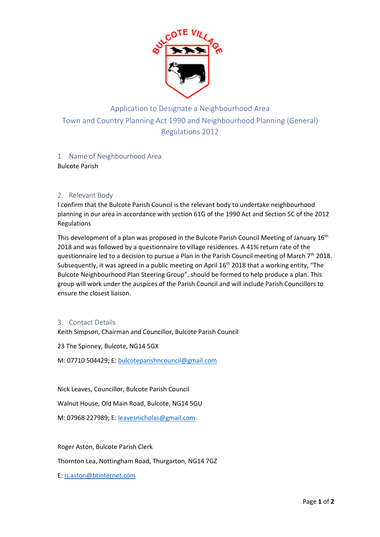

# Application to Designate a Neighbourhood Area Town and Country Planning Act 1990 and Neighbourhood Planning (General) Regulations 2012

#### 1. Name of Neighbourhood Area Bulcote Parish

## 2. Relevant Body

I confirm that the Bulcote Parish Council is the relevant body to undertake neighbourhood planning in our area in accordance with section 61G of the 1990 Act and Section 5C of the 2012 Regulations

This development of a plan was proposed in the Bulcote Parish Council Meeting of January 16<sup>th</sup> 2018 and was followed by a questionnaire to village residences. A 41% return rate of the questionnaire led to a decision to pursue a Plan in the Parish Council meeting of March  $7<sup>th</sup>$  2018. Subsequently, it was agreed in a public meeting on April  $16<sup>th</sup>$  2018 that a working entity, "The Bulcote Neighbourhood Plan Steering Group", should be formed to help produce a plan. This group will work under the auspices of the Parish Council and will include Parish Councillors to ensure the closest liaison.

#### 3. Contact Details

Keith Simpson, Chairman and Councillor, Bulcote Parish Council

23 The Spinney, Bulcote, NG14 5GX

M: 07710 504429; E: bulcoteparishncouncil@gmail.com

Nick Leaves, Councillor, Bulcote Parish Council

Walnut House, Old Main Road, Bulcote, NG14 5GU

M: 07968 227989; E: leavesnicholas@gmail.com

Roger Aston, Bulcote Parish Clerk

Thornton Lea, Nottingham Road, Thurgarton, NG14 7GZ

E: rj.aston@btinternet.com